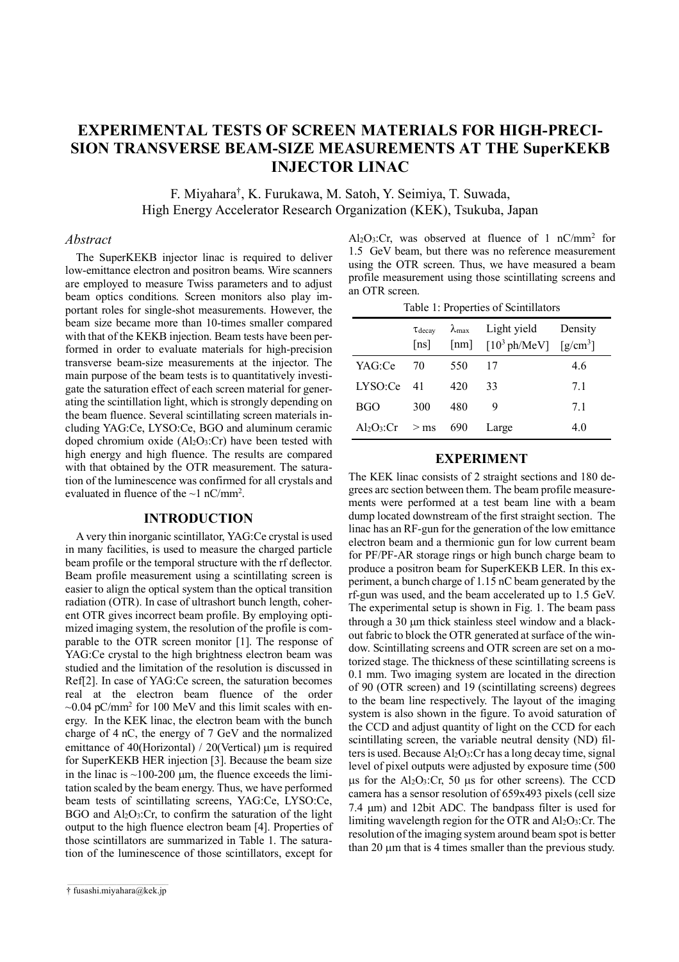# **EXPERIMENTAL TESTS OF SCREEN MATERIALS FOR HIGH-PRECI-SION TRANSVERSE BEAM-SIZE MEASUREMENTS AT THE SuperKEKB INJECTOR LINAC**

F. Miyahara† , K. Furukawa, M. Satoh, Y. Seimiya, T. Suwada, High Energy Accelerator Research Organization (KEK), Tsukuba, Japan

#### *Abstract*

The SuperKEKB injector linac is required to deliver low-emittance electron and positron beams. Wire scanners are employed to measure Twiss parameters and to adjust beam optics conditions. Screen monitors also play important roles for single-shot measurements. However, the beam size became more than 10-times smaller compared with that of the KEKB injection. Beam tests have been performed in order to evaluate materials for high-precision transverse beam-size measurements at the injector. The main purpose of the beam tests is to quantitatively investigate the saturation effect of each screen material for generating the scintillation light, which is strongly depending on the beam fluence. Several scintillating screen materials including YAG:Ce, LYSO:Ce, BGO and aluminum ceramic doped chromium oxide (Al2O3:Cr) have been tested with high energy and high fluence. The results are compared with that obtained by the OTR measurement. The saturation of the luminescence was confirmed for all crystals and evaluated in fluence of the  $\sim$ 1 nC/mm<sup>2</sup>.

# **INTRODUCTION**

A very thin inorganic scintillator, YAG:Ce crystal is used in many facilities, is used to measure the charged particle beam profile or the temporal structure with the rf deflector. Beam profile measurement using a scintillating screen is easier to align the optical system than the optical transition radiation (OTR). In case of ultrashort bunch length, coherent OTR gives incorrect beam profile. By employing optimized imaging system, the resolution of the profile is comparable to the OTR screen monitor [1]. The response of YAG:Ce crystal to the high brightness electron beam was studied and the limitation of the resolution is discussed in Ref[2]. In case of YAG:Ce screen, the saturation becomes real at the electron beam fluence of the order  $\sim$ 0.04 pC/mm<sup>2</sup> for 100 MeV and this limit scales with energy. In the KEK linac, the electron beam with the bunch charge of 4 nC, the energy of 7 GeV and the normalized emittance of 40(Horizontal) / 20(Vertical)  $\mu$ m is required for SuperKEKB HER injection [3]. Because the beam size in the linac is  $\sim$ 100-200  $\mu$ m, the fluence exceeds the limitation scaled by the beam energy. Thus, we have performed beam tests of scintillating screens, YAG:Ce, LYSO:Ce, BGO and  $Al_2O_3$ : Cr, to confirm the saturation of the light output to the high fluence electron beam [4]. Properties of those scintillators are summarized in Table 1. The saturation of the luminescence of those scintillators, except for

Al2O3:Cr, was observed at fluence of 1 nC/mm2 for 1.5 GeV beam, but there was no reference measurement using the OTR screen. Thus, we have measured a beam profile measurement using those scintillating screens and an OTR screen.

|  |  | Table 1: Properties of Scintillators |  |
|--|--|--------------------------------------|--|
|--|--|--------------------------------------|--|

|                   | $\tau_{\text{decay}}$<br>$\lceil$ ns $\rceil$ |     | $\lambda_{\text{max}}$ Light yield<br>[nm] $[10^3 \text{ ph/MeV}]$ $[g/cm^3]$ | Density |
|-------------------|-----------------------------------------------|-----|-------------------------------------------------------------------------------|---------|
| YAG:Ce            | 70                                            | 550 | 17                                                                            | 4.6     |
| IXSO <sub>c</sub> | 41                                            | 420 | 33                                                                            | 71      |
| <b>BGO</b>        | 300                                           | 480 | Q                                                                             | 71      |
| $Al_2O_3$ : $Cr$  | $>$ ms                                        | 690 | Large                                                                         | 4.0     |

# **EXPERIMENT**

The KEK linac consists of 2 straight sections and 180 degrees arc section between them. The beam profile measurements were performed at a test beam line with a beam dump located downstream of the first straight section. The linac has an RF-gun for the generation of the low emittance electron beam and a thermionic gun for low current beam for PF/PF-AR storage rings or high bunch charge beam to produce a positron beam for SuperKEKB LER. In this experiment, a bunch charge of 1.15 nC beam generated by the rf-gun was used, and the beam accelerated up to 1.5 GeV. The experimental setup is shown in Fig. 1. The beam pass through a 30 um thick stainless steel window and a blackout fabric to block the OTR generated at surface of the window. Scintillating screens and OTR screen are set on a motorized stage. The thickness of these scintillating screens is 0.1 mm. Two imaging system are located in the direction of 90 (OTR screen) and 19 (scintillating screens) degrees to the beam line respectively. The layout of the imaging system is also shown in the figure. To avoid saturation of the CCD and adjust quantity of light on the CCD for each scintillating screen, the variable neutral density (ND) filters is used. Because  $Al_2O_3$ : Cr has a long decay time, signal level of pixel outputs were adjusted by exposure time (500  $\mu$ s for the Al<sub>2</sub>O<sub>3</sub>:Cr, 50  $\mu$ s for other screens). The CCD camera has a sensor resolution of 659x493 pixels (cell size 7.4 µm) and 12bit ADC. The bandpass filter is used for limiting wavelength region for the OTR and  $Al_2O_3$ : Cr. The resolution of the imaging system around beam spot is better than 20  $\mu$ m that is 4 times smaller than the previous study.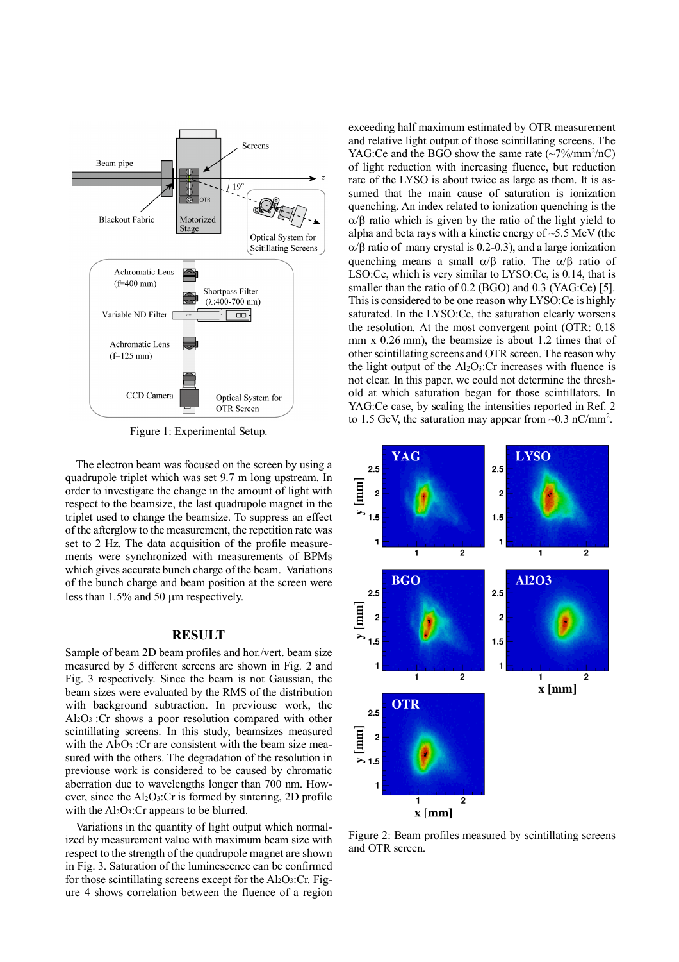

Figure 1: Experimental Setup.

The electron beam was focused on the screen by using a quadrupole triplet which was set 9.7 m long upstream. In order to investigate the change in the amount of light with respect to the beamsize, the last quadrupole magnet in the triplet used to change the beamsize. To suppress an effect of the afterglow to the measurement, the repetition rate was set to 2 Hz. The data acquisition of the profile measurements were synchronized with measurements of BPMs which gives accurate bunch charge of the beam. Variations of the bunch charge and beam position at the screen were less than 1.5% and 50 um respectively.

## **RESULT**

Sample of beam 2D beam profiles and hor./vert. beam size measured by 5 different screens are shown in Fig. 2 and Fig. 3 respectively. Since the beam is not Gaussian, the beam sizes were evaluated by the RMS of the distribution with background subtraction. In previouse work, the Al2O3 :Cr shows a poor resolution compared with other scintillating screens. In this study, beamsizes measured with the  $Al_2O_3$ : Cr are consistent with the beam size measured with the others. The degradation of the resolution in previouse work is considered to be caused by chromatic aberration due to wavelengths longer than 700 nm. However, since the  $Al_2O_3$ : Cr is formed by sintering, 2D profile with the  $Al_2O_3$ : Cr appears to be blurred.

Variations in the quantity of light output which normalized by measurement value with maximum beam size with respect to the strength of the quadrupole magnet are shown in Fig. 3. Saturation of the luminescence can be confirmed for those scintillating screens except for the  $Al_2O_3$ :Cr. Figure 4 shows correlation between the fluence of a region exceeding half maximum estimated by OTR measurement and relative light output of those scintillating screens. The YAG:Ce and the BGO show the same rate  $(\sim 7\%/mm^2/nC)$ of light reduction with increasing fluence, but reduction rate of the LYSO is about twice as large as them. It is assumed that the main cause of saturation is ionization quenching. An index related to ionization quenching is the  $\alpha/\beta$  ratio which is given by the ratio of the light yield to alpha and beta rays with a kinetic energy of  $\sim$ 5.5 MeV (the  $\alpha$ / $\beta$  ratio of many crystal is 0.2-0.3), and a large ionization quenching means a small  $\alpha/\beta$  ratio. The  $\alpha/\beta$  ratio of LSO:Ce, which is very similar to LYSO:Ce, is 0.14, that is smaller than the ratio of 0.2 (BGO) and 0.3 (YAG:Ce) [5]. This is considered to be one reason why LYSO:Ce is highly saturated. In the LYSO:Ce, the saturation clearly worsens the resolution. At the most convergent point (OTR: 0.18 mm x 0.26 mm), the beamsize is about 1.2 times that of other scintillating screens and OTR screen. The reason why the light output of the  $Al_2O_3$ : Cr increases with fluence is not clear. In this paper, we could not determine the threshold at which saturation began for those scintillators. In YAG:Ce case, by scaling the intensities reported in Ref. 2 to 1.5 GeV, the saturation may appear from  $\sim$ 0.3 nC/mm<sup>2</sup>.



Figure 2: Beam profiles measured by scintillating screens and OTR screen.